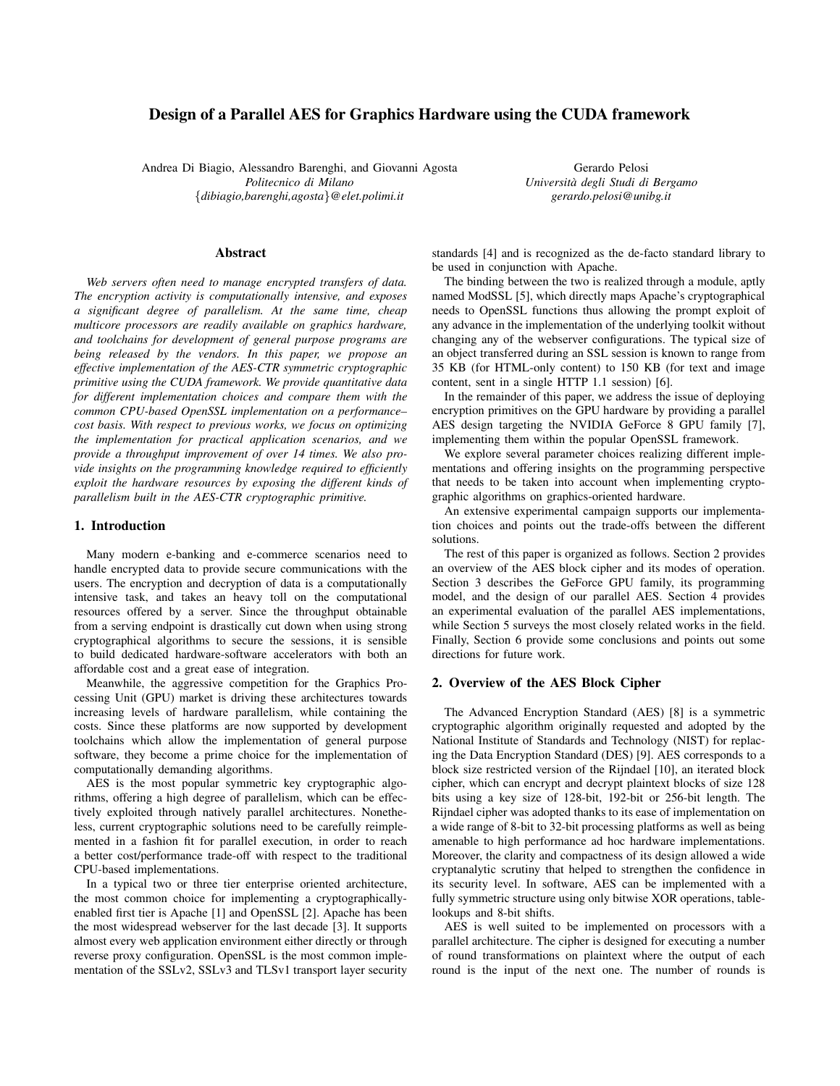# **Design of a Parallel AES for Graphics Hardware using the CUDA framework**

Andrea Di Biagio, Alessandro Barenghi, and Giovanni Agosta *Politecnico di Milano* {*dibiagio,barenghi,agosta*}*@elet.polimi.it*

Gerardo Pelosi *Universit `a degli Studi di Bergamo gerardo.pelosi@unibg.it*

#### **Abstract**

*Web servers often need to manage encrypted transfers of data. The encryption activity is computationally intensive, and exposes a significant degree of parallelism. At the same time, cheap multicore processors are readily available on graphics hardware, and toolchains for development of general purpose programs are being released by the vendors. In this paper, we propose an effective implementation of the AES-CTR symmetric cryptographic primitive using the CUDA framework. We provide quantitative data for different implementation choices and compare them with the common CPU-based OpenSSL implementation on a performance– cost basis. With respect to previous works, we focus on optimizing the implementation for practical application scenarios, and we provide a throughput improvement of over 14 times. We also provide insights on the programming knowledge required to efficiently exploit the hardware resources by exposing the different kinds of parallelism built in the AES-CTR cryptographic primitive.*

#### **1. Introduction**

Many modern e-banking and e-commerce scenarios need to handle encrypted data to provide secure communications with the users. The encryption and decryption of data is a computationally intensive task, and takes an heavy toll on the computational resources offered by a server. Since the throughput obtainable from a serving endpoint is drastically cut down when using strong cryptographical algorithms to secure the sessions, it is sensible to build dedicated hardware-software accelerators with both an affordable cost and a great ease of integration.

Meanwhile, the aggressive competition for the Graphics Processing Unit (GPU) market is driving these architectures towards increasing levels of hardware parallelism, while containing the costs. Since these platforms are now supported by development toolchains which allow the implementation of general purpose software, they become a prime choice for the implementation of computationally demanding algorithms.

AES is the most popular symmetric key cryptographic algorithms, offering a high degree of parallelism, which can be effectively exploited through natively parallel architectures. Nonetheless, current cryptographic solutions need to be carefully reimplemented in a fashion fit for parallel execution, in order to reach a better cost/performance trade-off with respect to the traditional CPU-based implementations.

In a typical two or three tier enterprise oriented architecture, the most common choice for implementing a cryptographicallyenabled first tier is Apache [1] and OpenSSL [2]. Apache has been the most widespread webserver for the last decade [3]. It supports almost every web application environment either directly or through reverse proxy configuration. OpenSSL is the most common implementation of the SSLv2, SSLv3 and TLSv1 transport layer security standards [4] and is recognized as the de-facto standard library to be used in conjunction with Apache.

The binding between the two is realized through a module, aptly named ModSSL [5], which directly maps Apache's cryptographical needs to OpenSSL functions thus allowing the prompt exploit of any advance in the implementation of the underlying toolkit without changing any of the webserver configurations. The typical size of an object transferred during an SSL session is known to range from 35 KB (for HTML-only content) to 150 KB (for text and image content, sent in a single HTTP 1.1 session) [6].

In the remainder of this paper, we address the issue of deploying encryption primitives on the GPU hardware by providing a parallel AES design targeting the NVIDIA GeForce 8 GPU family [7], implementing them within the popular OpenSSL framework.

We explore several parameter choices realizing different implementations and offering insights on the programming perspective that needs to be taken into account when implementing cryptographic algorithms on graphics-oriented hardware.

An extensive experimental campaign supports our implementation choices and points out the trade-offs between the different solutions.

The rest of this paper is organized as follows. Section 2 provides an overview of the AES block cipher and its modes of operation. Section 3 describes the GeForce GPU family, its programming model, and the design of our parallel AES. Section 4 provides an experimental evaluation of the parallel AES implementations, while Section 5 surveys the most closely related works in the field. Finally, Section 6 provide some conclusions and points out some directions for future work.

## **2. Overview of the AES Block Cipher**

The Advanced Encryption Standard (AES) [8] is a symmetric cryptographic algorithm originally requested and adopted by the National Institute of Standards and Technology (NIST) for replacing the Data Encryption Standard (DES) [9]. AES corresponds to a block size restricted version of the Rijndael [10], an iterated block cipher, which can encrypt and decrypt plaintext blocks of size 128 bits using a key size of 128-bit, 192-bit or 256-bit length. The Rijndael cipher was adopted thanks to its ease of implementation on a wide range of 8-bit to 32-bit processing platforms as well as being amenable to high performance ad hoc hardware implementations. Moreover, the clarity and compactness of its design allowed a wide cryptanalytic scrutiny that helped to strengthen the confidence in its security level. In software, AES can be implemented with a fully symmetric structure using only bitwise XOR operations, tablelookups and 8-bit shifts.

AES is well suited to be implemented on processors with a parallel architecture. The cipher is designed for executing a number of round transformations on plaintext where the output of each round is the input of the next one. The number of rounds is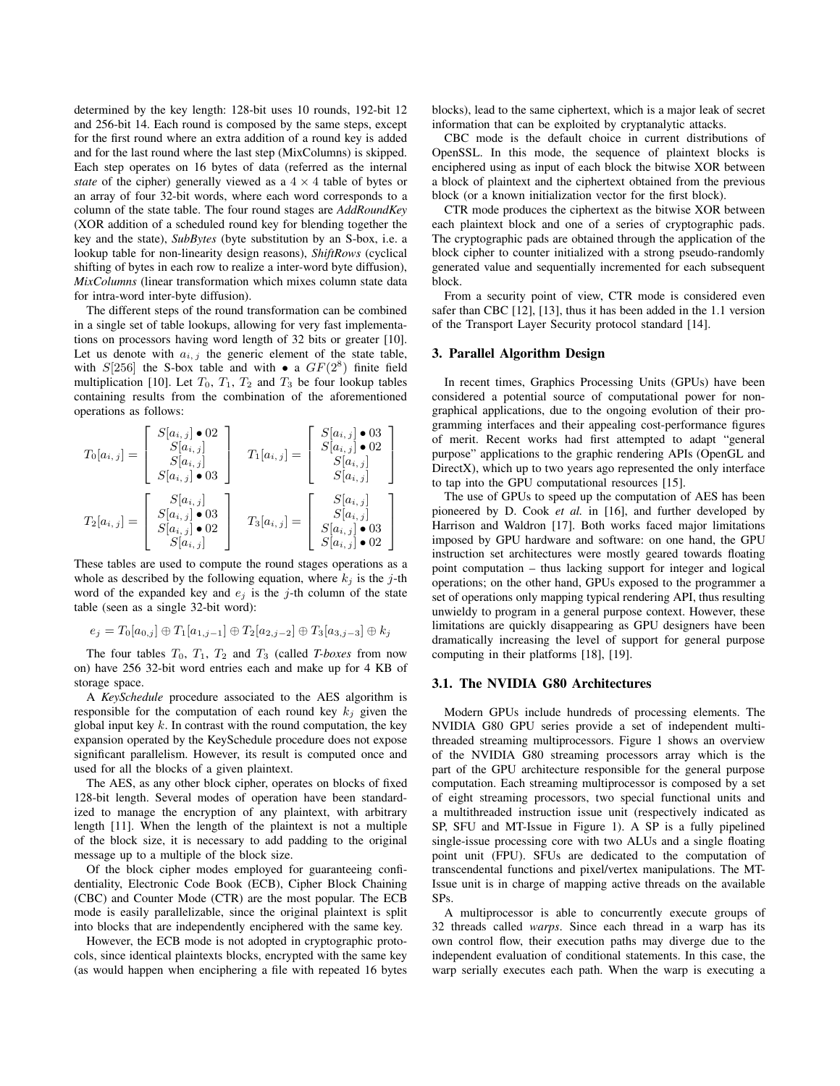determined by the key length: 128-bit uses 10 rounds, 192-bit 12 and 256-bit 14. Each round is composed by the same steps, except for the first round where an extra addition of a round key is added and for the last round where the last step (MixColumns) is skipped. Each step operates on 16 bytes of data (referred as the internal *state* of the cipher) generally viewed as a  $4 \times 4$  table of bytes or an array of four 32-bit words, where each word corresponds to a column of the state table. The four round stages are *AddRoundKey* (XOR addition of a scheduled round key for blending together the key and the state), *SubBytes* (byte substitution by an S-box, i.e. a lookup table for non-linearity design reasons), *ShiftRows* (cyclical shifting of bytes in each row to realize a inter-word byte diffusion), *MixColumns* (linear transformation which mixes column state data for intra-word inter-byte diffusion).

The different steps of the round transformation can be combined in a single set of table lookups, allowing for very fast implementations on processors having word length of 32 bits or greater [10]. Let us denote with  $a_{i,j}$  the generic element of the state table, with  $S[256]$  the S-box table and with • a  $GF(2^8)$  finite field multiplication [10]. Let  $T_0$ ,  $T_1$ ,  $T_2$  and  $T_3$  be four lookup tables containing results from the combination of the aforementioned operations as follows:

$$
T_0[a_{i,j}] = \begin{bmatrix} S[a_{i,j}] \bullet 02 \\ S[a_{i,j}] \\ S[a_{i,j}] \\ S[a_{i,j}] \bullet 03 \end{bmatrix} \quad T_1[a_{i,j}] = \begin{bmatrix} S[a_{i,j}] \bullet 03 \\ S[a_{i,j}] \bullet 02 \\ S[a_{i,j}] \end{bmatrix}
$$

$$
T_2[a_{i,j}] = \begin{bmatrix} S[a_{i,j}] \bullet 03 \\ S[a_{i,j}] \bullet 03 \\ S[a_{i,j}] \bullet 02 \\ S[a_{i,j}] \bullet 02 \end{bmatrix} \quad T_3[a_{i,j}] = \begin{bmatrix} S[a_{i,j}] \\ S[a_{i,j}] \\ S[a_{i,j}] \bullet 03 \\ S[a_{i,j}] \bullet 02 \\ S[a_{i,j}] \bullet 02 \end{bmatrix}
$$

These tables are used to compute the round stages operations as a whole as described by the following equation, where  $k_i$  is the j-th word of the expanded key and  $e_i$  is the j-th column of the state table (seen as a single 32-bit word):

$$
e_j = T_0[a_{0,j}] \oplus T_1[a_{1,j-1}] \oplus T_2[a_{2,j-2}] \oplus T_3[a_{3,j-3}] \oplus k_j
$$

The four tables  $T_0$ ,  $T_1$ ,  $T_2$  and  $T_3$  (called *T-boxes* from now on) have 256 32-bit word entries each and make up for 4 KB of storage space.

A *KeySchedule* procedure associated to the AES algorithm is responsible for the computation of each round key  $k_i$  given the global input key  $k$ . In contrast with the round computation, the key expansion operated by the KeySchedule procedure does not expose significant parallelism. However, its result is computed once and used for all the blocks of a given plaintext.

The AES, as any other block cipher, operates on blocks of fixed 128-bit length. Several modes of operation have been standardized to manage the encryption of any plaintext, with arbitrary length [11]. When the length of the plaintext is not a multiple of the block size, it is necessary to add padding to the original message up to a multiple of the block size.

Of the block cipher modes employed for guaranteeing confidentiality, Electronic Code Book (ECB), Cipher Block Chaining (CBC) and Counter Mode (CTR) are the most popular. The ECB mode is easily parallelizable, since the original plaintext is split into blocks that are independently enciphered with the same key.

However, the ECB mode is not adopted in cryptographic protocols, since identical plaintexts blocks, encrypted with the same key (as would happen when enciphering a file with repeated 16 bytes blocks), lead to the same ciphertext, which is a major leak of secret information that can be exploited by cryptanalytic attacks.

CBC mode is the default choice in current distributions of OpenSSL. In this mode, the sequence of plaintext blocks is enciphered using as input of each block the bitwise XOR between a block of plaintext and the ciphertext obtained from the previous block (or a known initialization vector for the first block).

CTR mode produces the ciphertext as the bitwise XOR between each plaintext block and one of a series of cryptographic pads. The cryptographic pads are obtained through the application of the block cipher to counter initialized with a strong pseudo-randomly generated value and sequentially incremented for each subsequent block.

From a security point of view, CTR mode is considered even safer than CBC [12], [13], thus it has been added in the 1.1 version of the Transport Layer Security protocol standard [14].

## **3. Parallel Algorithm Design**

In recent times, Graphics Processing Units (GPUs) have been considered a potential source of computational power for nongraphical applications, due to the ongoing evolution of their programming interfaces and their appealing cost-performance figures of merit. Recent works had first attempted to adapt "general purpose" applications to the graphic rendering APIs (OpenGL and DirectX), which up to two years ago represented the only interface to tap into the GPU computational resources [15].

The use of GPUs to speed up the computation of AES has been pioneered by D. Cook *et al.* in [16], and further developed by Harrison and Waldron [17]. Both works faced major limitations imposed by GPU hardware and software: on one hand, the GPU instruction set architectures were mostly geared towards floating point computation – thus lacking support for integer and logical operations; on the other hand, GPUs exposed to the programmer a set of operations only mapping typical rendering API, thus resulting unwieldy to program in a general purpose context. However, these limitations are quickly disappearing as GPU designers have been dramatically increasing the level of support for general purpose computing in their platforms [18], [19].

### **3.1. The NVIDIA G80 Architectures**

Modern GPUs include hundreds of processing elements. The NVIDIA G80 GPU series provide a set of independent multithreaded streaming multiprocessors. Figure 1 shows an overview of the NVIDIA G80 streaming processors array which is the part of the GPU architecture responsible for the general purpose computation. Each streaming multiprocessor is composed by a set of eight streaming processors, two special functional units and a multithreaded instruction issue unit (respectively indicated as SP, SFU and MT-Issue in Figure 1). A SP is a fully pipelined single-issue processing core with two ALUs and a single floating point unit (FPU). SFUs are dedicated to the computation of transcendental functions and pixel/vertex manipulations. The MT-Issue unit is in charge of mapping active threads on the available SPs.

A multiprocessor is able to concurrently execute groups of 32 threads called *warps*. Since each thread in a warp has its own control flow, their execution paths may diverge due to the independent evaluation of conditional statements. In this case, the warp serially executes each path. When the warp is executing a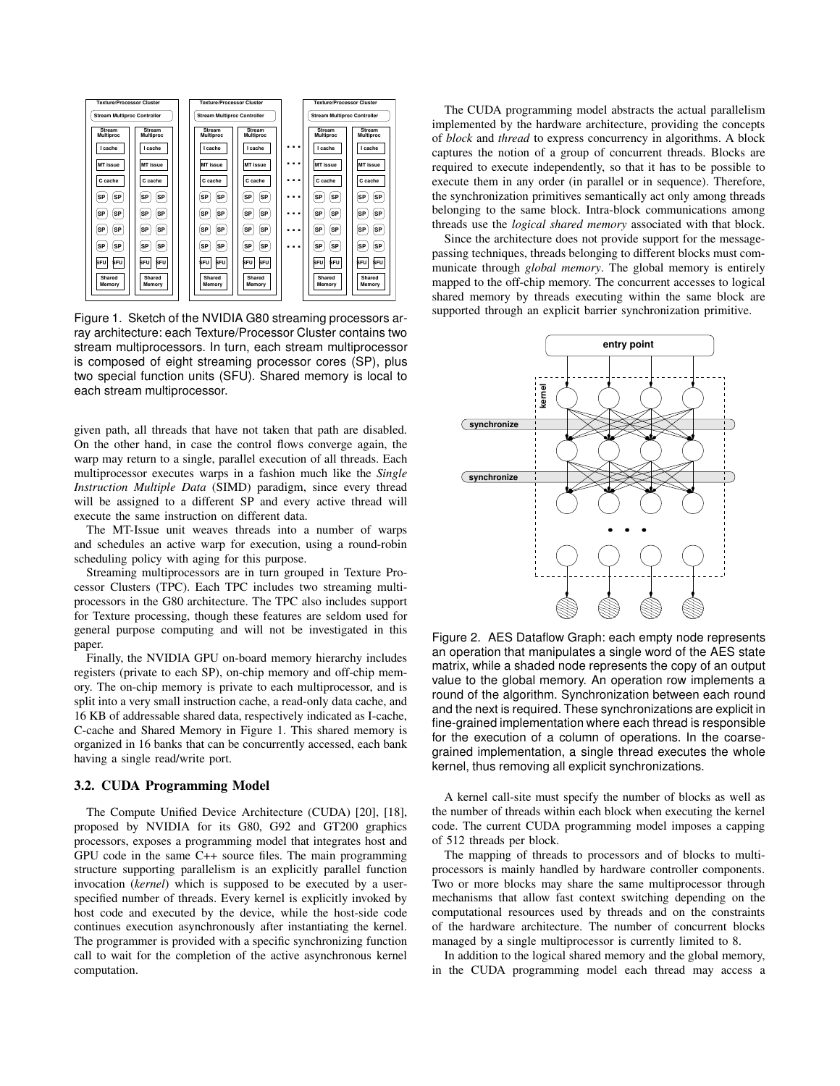

Figure 1. Sketch of the NVIDIA G80 streaming processors array architecture: each Texture/Processor Cluster contains two stream multiprocessors. In turn, each stream multiprocessor is composed of eight streaming processor cores (SP), plus two special function units (SFU). Shared memory is local to each stream multiprocessor.

given path, all threads that have not taken that path are disabled. On the other hand, in case the control flows converge again, the warp may return to a single, parallel execution of all threads. Each multiprocessor executes warps in a fashion much like the *Single Instruction Multiple Data* (SIMD) paradigm, since every thread will be assigned to a different SP and every active thread will execute the same instruction on different data.

The MT-Issue unit weaves threads into a number of warps and schedules an active warp for execution, using a round-robin scheduling policy with aging for this purpose.

Streaming multiprocessors are in turn grouped in Texture Processor Clusters (TPC). Each TPC includes two streaming multiprocessors in the G80 architecture. The TPC also includes support for Texture processing, though these features are seldom used for general purpose computing and will not be investigated in this paper.

Finally, the NVIDIA GPU on-board memory hierarchy includes registers (private to each SP), on-chip memory and off-chip memory. The on-chip memory is private to each multiprocessor, and is split into a very small instruction cache, a read-only data cache, and 16 KB of addressable shared data, respectively indicated as I-cache, C-cache and Shared Memory in Figure 1. This shared memory is organized in 16 banks that can be concurrently accessed, each bank having a single read/write port.

# **3.2. CUDA Programming Model**

The Compute Unified Device Architecture (CUDA) [20], [18], proposed by NVIDIA for its G80, G92 and GT200 graphics processors, exposes a programming model that integrates host and GPU code in the same C++ source files. The main programming structure supporting parallelism is an explicitly parallel function invocation (*kernel*) which is supposed to be executed by a userspecified number of threads. Every kernel is explicitly invoked by host code and executed by the device, while the host-side code continues execution asynchronously after instantiating the kernel. The programmer is provided with a specific synchronizing function call to wait for the completion of the active asynchronous kernel computation.

The CUDA programming model abstracts the actual parallelism implemented by the hardware architecture, providing the concepts of *block* and *thread* to express concurrency in algorithms. A block captures the notion of a group of concurrent threads. Blocks are required to execute independently, so that it has to be possible to execute them in any order (in parallel or in sequence). Therefore, the synchronization primitives semantically act only among threads belonging to the same block. Intra-block communications among threads use the *logical shared memory* associated with that block.

Since the architecture does not provide support for the messagepassing techniques, threads belonging to different blocks must communicate through *global memory*. The global memory is entirely mapped to the off-chip memory. The concurrent accesses to logical shared memory by threads executing within the same block are supported through an explicit barrier synchronization primitive.



Figure 2. AES Dataflow Graph: each empty node represents an operation that manipulates a single word of the AES state matrix, while a shaded node represents the copy of an output value to the global memory. An operation row implements a round of the algorithm. Synchronization between each round and the next is required. These synchronizations are explicit in fine-grained implementation where each thread is responsible for the execution of a column of operations. In the coarsegrained implementation, a single thread executes the whole kernel, thus removing all explicit synchronizations.

A kernel call-site must specify the number of blocks as well as the number of threads within each block when executing the kernel code. The current CUDA programming model imposes a capping of 512 threads per block.

The mapping of threads to processors and of blocks to multiprocessors is mainly handled by hardware controller components. Two or more blocks may share the same multiprocessor through mechanisms that allow fast context switching depending on the computational resources used by threads and on the constraints of the hardware architecture. The number of concurrent blocks managed by a single multiprocessor is currently limited to 8.

In addition to the logical shared memory and the global memory, in the CUDA programming model each thread may access a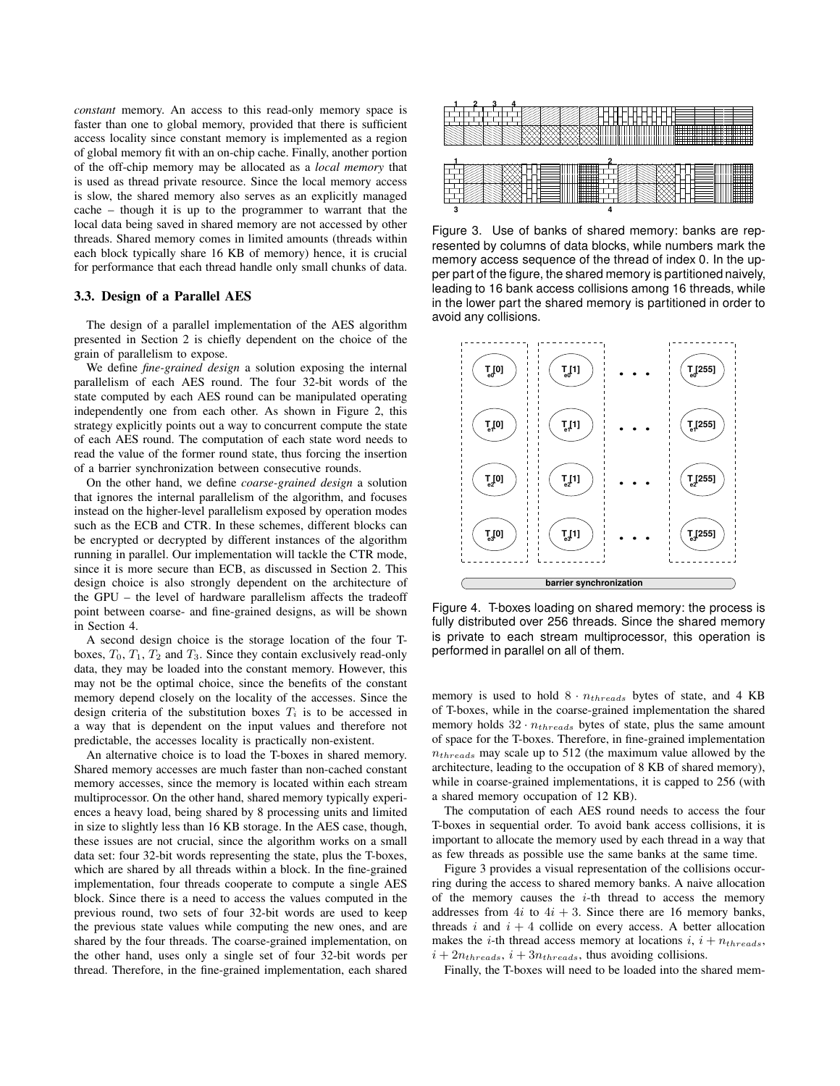*constant* memory. An access to this read-only memory space is faster than one to global memory, provided that there is sufficient access locality since constant memory is implemented as a region of global memory fit with an on-chip cache. Finally, another portion of the off-chip memory may be allocated as a *local memory* that is used as thread private resource. Since the local memory access is slow, the shared memory also serves as an explicitly managed cache – though it is up to the programmer to warrant that the local data being saved in shared memory are not accessed by other threads. Shared memory comes in limited amounts (threads within each block typically share 16 KB of memory) hence, it is crucial for performance that each thread handle only small chunks of data.

# **3.3. Design of a Parallel AES**

The design of a parallel implementation of the AES algorithm presented in Section 2 is chiefly dependent on the choice of the grain of parallelism to expose.

We define *fine-grained design* a solution exposing the internal parallelism of each AES round. The four 32-bit words of the state computed by each AES round can be manipulated operating independently one from each other. As shown in Figure 2, this strategy explicitly points out a way to concurrent compute the state of each AES round. The computation of each state word needs to read the value of the former round state, thus forcing the insertion of a barrier synchronization between consecutive rounds.

On the other hand, we define *coarse-grained design* a solution that ignores the internal parallelism of the algorithm, and focuses instead on the higher-level parallelism exposed by operation modes such as the ECB and CTR. In these schemes, different blocks can be encrypted or decrypted by different instances of the algorithm running in parallel. Our implementation will tackle the CTR mode, since it is more secure than ECB, as discussed in Section 2. This design choice is also strongly dependent on the architecture of the GPU – the level of hardware parallelism affects the tradeoff point between coarse- and fine-grained designs, as will be shown in Section 4.

A second design choice is the storage location of the four Tboxes,  $T_0$ ,  $T_1$ ,  $T_2$  and  $T_3$ . Since they contain exclusively read-only data, they may be loaded into the constant memory. However, this may not be the optimal choice, since the benefits of the constant memory depend closely on the locality of the accesses. Since the design criteria of the substitution boxes  $T_i$  is to be accessed in a way that is dependent on the input values and therefore not predictable, the accesses locality is practically non-existent.

An alternative choice is to load the T-boxes in shared memory. Shared memory accesses are much faster than non-cached constant memory accesses, since the memory is located within each stream multiprocessor. On the other hand, shared memory typically experiences a heavy load, being shared by 8 processing units and limited in size to slightly less than 16 KB storage. In the AES case, though, these issues are not crucial, since the algorithm works on a small data set: four 32-bit words representing the state, plus the T-boxes, which are shared by all threads within a block. In the fine-grained implementation, four threads cooperate to compute a single AES block. Since there is a need to access the values computed in the previous round, two sets of four 32-bit words are used to keep the previous state values while computing the new ones, and are shared by the four threads. The coarse-grained implementation, on the other hand, uses only a single set of four 32-bit words per thread. Therefore, in the fine-grained implementation, each shared



Figure 3. Use of banks of shared memory: banks are represented by columns of data blocks, while numbers mark the memory access sequence of the thread of index 0. In the upper part of the figure, the shared memory is partitioned naively, leading to 16 bank access collisions among 16 threads, while in the lower part the shared memory is partitioned in order to avoid any collisions.



Figure 4. T-boxes loading on shared memory: the process is fully distributed over 256 threads. Since the shared memory is private to each stream multiprocessor, this operation is performed in parallel on all of them.

memory is used to hold  $8 \cdot n_{threads}$  bytes of state, and 4 KB of T-boxes, while in the coarse-grained implementation the shared memory holds  $32 \cdot n_{threads}$  bytes of state, plus the same amount of space for the T-boxes. Therefore, in fine-grained implementation  $n_{threads}$  may scale up to 512 (the maximum value allowed by the architecture, leading to the occupation of 8 KB of shared memory), while in coarse-grained implementations, it is capped to 256 (with a shared memory occupation of 12 KB).

The computation of each AES round needs to access the four T-boxes in sequential order. To avoid bank access collisions, it is important to allocate the memory used by each thread in a way that as few threads as possible use the same banks at the same time.

Figure 3 provides a visual representation of the collisions occurring during the access to shared memory banks. A naive allocation of the memory causes the  $i$ -th thread to access the memory addresses from  $4i$  to  $4i + 3$ . Since there are 16 memory banks, threads i and  $i + 4$  collide on every access. A better allocation makes the *i*-th thread access memory at locations  $i$ ,  $i + n_{threads}$ ,  $i + 2n_{threads}, i + 3n_{threads}$ , thus avoiding collisions.

Finally, the T-boxes will need to be loaded into the shared mem-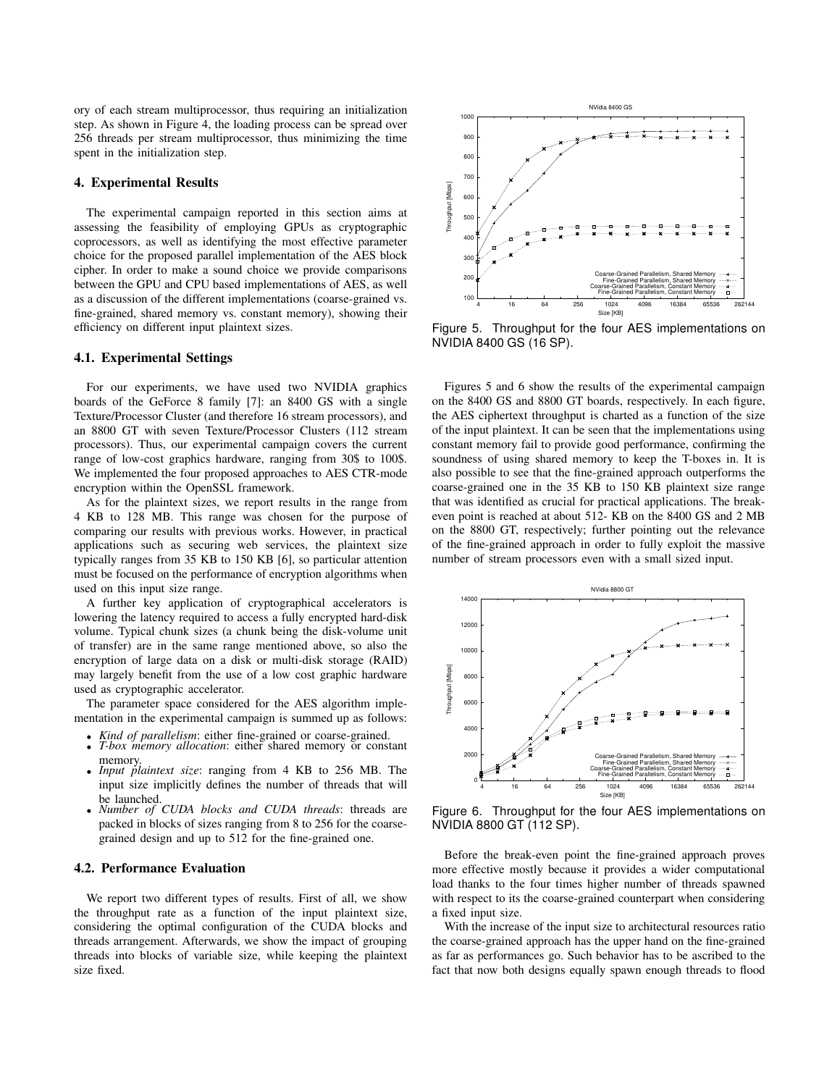ory of each stream multiprocessor, thus requiring an initialization step. As shown in Figure 4, the loading process can be spread over 256 threads per stream multiprocessor, thus minimizing the time spent in the initialization step.

#### **4. Experimental Results**

The experimental campaign reported in this section aims at assessing the feasibility of employing GPUs as cryptographic coprocessors, as well as identifying the most effective parameter choice for the proposed parallel implementation of the AES block cipher. In order to make a sound choice we provide comparisons between the GPU and CPU based implementations of AES, as well as a discussion of the different implementations (coarse-grained vs. fine-grained, shared memory vs. constant memory), showing their efficiency on different input plaintext sizes.

#### **4.1. Experimental Settings**

For our experiments, we have used two NVIDIA graphics boards of the GeForce 8 family [7]: an 8400 GS with a single Texture/Processor Cluster (and therefore 16 stream processors), and an 8800 GT with seven Texture/Processor Clusters (112 stream processors). Thus, our experimental campaign covers the current range of low-cost graphics hardware, ranging from 30\$ to 100\$. We implemented the four proposed approaches to AES CTR-mode encryption within the OpenSSL framework.

As for the plaintext sizes, we report results in the range from 4 KB to 128 MB. This range was chosen for the purpose of comparing our results with previous works. However, in practical applications such as securing web services, the plaintext size typically ranges from 35 KB to 150 KB [6], so particular attention must be focused on the performance of encryption algorithms when used on this input size range.

A further key application of cryptographical accelerators is lowering the latency required to access a fully encrypted hard-disk volume. Typical chunk sizes (a chunk being the disk-volume unit of transfer) are in the same range mentioned above, so also the encryption of large data on a disk or multi-disk storage (RAID) may largely benefit from the use of a low cost graphic hardware used as cryptographic accelerator.

The parameter space considered for the AES algorithm implementation in the experimental campaign is summed up as follows:

- 
- *Kind of parallelism*: either fine-grained or coarse-grained. *T-box memory allocation*: either shared memory or constant memory.
- *Input plaintext size*: ranging from 4 KB to 256 MB. The input size implicitly defines the number of threads that will be launched.
- *Number of CUDA blocks and CUDA threads*: threads are packed in blocks of sizes ranging from 8 to 256 for the coarsegrained design and up to 512 for the fine-grained one.

# **4.2. Performance Evaluation**

We report two different types of results. First of all, we show the throughput rate as a function of the input plaintext size, considering the optimal configuration of the CUDA blocks and threads arrangement. Afterwards, we show the impact of grouping threads into blocks of variable size, while keeping the plaintext size fixed.



Figure 5. Throughput for the four AES implementations on NVIDIA 8400 GS (16 SP).

Figures 5 and 6 show the results of the experimental campaign on the 8400 GS and 8800 GT boards, respectively. In each figure, the AES ciphertext throughput is charted as a function of the size of the input plaintext. It can be seen that the implementations using constant memory fail to provide good performance, confirming the soundness of using shared memory to keep the T-boxes in. It is also possible to see that the fine-grained approach outperforms the coarse-grained one in the 35 KB to 150 KB plaintext size range that was identified as crucial for practical applications. The breakeven point is reached at about 512- KB on the 8400 GS and 2 MB on the 8800 GT, respectively; further pointing out the relevance of the fine-grained approach in order to fully exploit the massive number of stream processors even with a small sized input.



Figure 6. Throughput for the four AES implementations on NVIDIA 8800 GT (112 SP).

Before the break-even point the fine-grained approach proves more effective mostly because it provides a wider computational load thanks to the four times higher number of threads spawned with respect to its the coarse-grained counterpart when considering a fixed input size.

With the increase of the input size to architectural resources ratio the coarse-grained approach has the upper hand on the fine-grained as far as performances go. Such behavior has to be ascribed to the fact that now both designs equally spawn enough threads to flood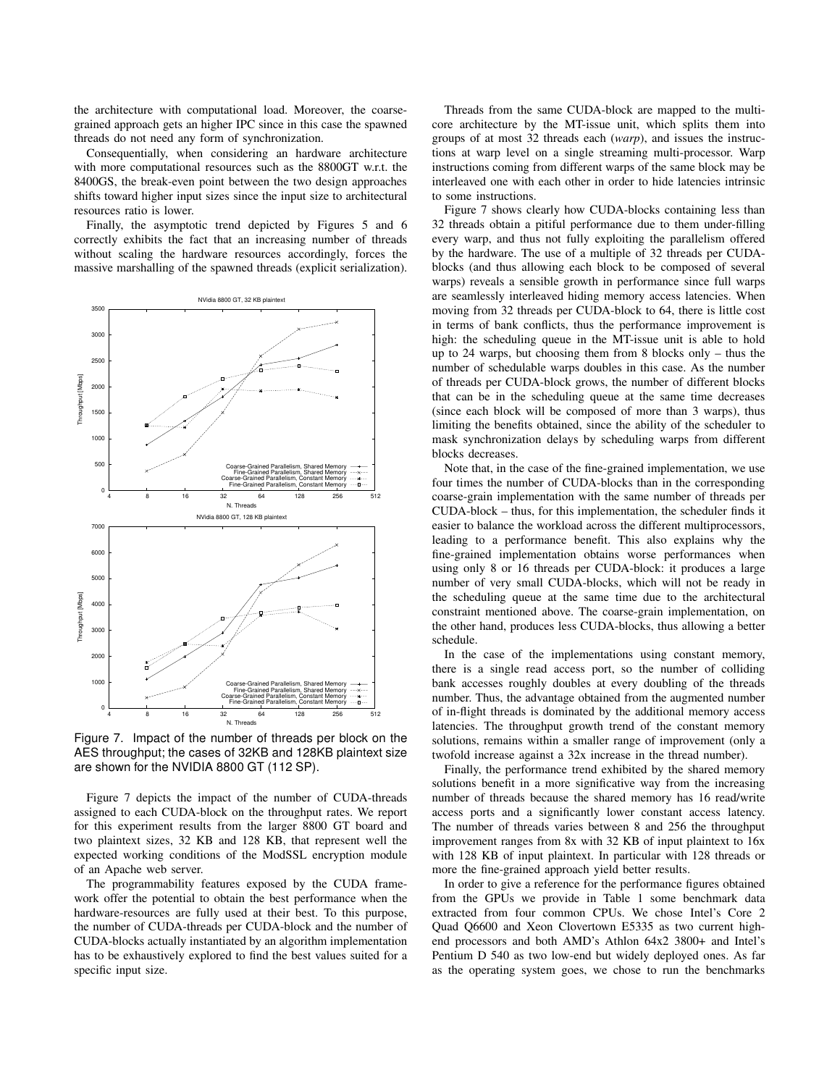the architecture with computational load. Moreover, the coarsegrained approach gets an higher IPC since in this case the spawned threads do not need any form of synchronization.

Consequentially, when considering an hardware architecture with more computational resources such as the 8800GT w.r.t. the 8400GS, the break-even point between the two design approaches shifts toward higher input sizes since the input size to architectural resources ratio is lower.

Finally, the asymptotic trend depicted by Figures 5 and 6 correctly exhibits the fact that an increasing number of threads without scaling the hardware resources accordingly, forces the massive marshalling of the spawned threads (explicit serialization).



Figure 7. Impact of the number of threads per block on the AES throughput; the cases of 32KB and 128KB plaintext size are shown for the NVIDIA 8800 GT (112 SP).

Figure 7 depicts the impact of the number of CUDA-threads assigned to each CUDA-block on the throughput rates. We report for this experiment results from the larger 8800 GT board and two plaintext sizes, 32 KB and 128 KB, that represent well the expected working conditions of the ModSSL encryption module of an Apache web server.

The programmability features exposed by the CUDA framework offer the potential to obtain the best performance when the hardware-resources are fully used at their best. To this purpose, the number of CUDA-threads per CUDA-block and the number of CUDA-blocks actually instantiated by an algorithm implementation has to be exhaustively explored to find the best values suited for a specific input size.

Threads from the same CUDA-block are mapped to the multicore architecture by the MT-issue unit, which splits them into groups of at most 32 threads each (*warp*), and issues the instructions at warp level on a single streaming multi-processor. Warp instructions coming from different warps of the same block may be interleaved one with each other in order to hide latencies intrinsic to some instructions.

Figure 7 shows clearly how CUDA-blocks containing less than 32 threads obtain a pitiful performance due to them under-filling every warp, and thus not fully exploiting the parallelism offered by the hardware. The use of a multiple of 32 threads per CUDAblocks (and thus allowing each block to be composed of several warps) reveals a sensible growth in performance since full warps are seamlessly interleaved hiding memory access latencies. When moving from 32 threads per CUDA-block to 64, there is little cost in terms of bank conflicts, thus the performance improvement is high: the scheduling queue in the MT-issue unit is able to hold up to 24 warps, but choosing them from 8 blocks only – thus the number of schedulable warps doubles in this case. As the number of threads per CUDA-block grows, the number of different blocks that can be in the scheduling queue at the same time decreases (since each block will be composed of more than 3 warps), thus limiting the benefits obtained, since the ability of the scheduler to mask synchronization delays by scheduling warps from different blocks decreases.

Note that, in the case of the fine-grained implementation, we use four times the number of CUDA-blocks than in the corresponding coarse-grain implementation with the same number of threads per CUDA-block – thus, for this implementation, the scheduler finds it easier to balance the workload across the different multiprocessors, leading to a performance benefit. This also explains why the fine-grained implementation obtains worse performances when using only 8 or 16 threads per CUDA-block: it produces a large number of very small CUDA-blocks, which will not be ready in the scheduling queue at the same time due to the architectural constraint mentioned above. The coarse-grain implementation, on the other hand, produces less CUDA-blocks, thus allowing a better schedule.

In the case of the implementations using constant memory, there is a single read access port, so the number of colliding bank accesses roughly doubles at every doubling of the threads number. Thus, the advantage obtained from the augmented number of in-flight threads is dominated by the additional memory access latencies. The throughput growth trend of the constant memory solutions, remains within a smaller range of improvement (only a twofold increase against a 32x increase in the thread number).

Finally, the performance trend exhibited by the shared memory solutions benefit in a more significative way from the increasing number of threads because the shared memory has 16 read/write access ports and a significantly lower constant access latency. The number of threads varies between 8 and 256 the throughput improvement ranges from 8x with 32 KB of input plaintext to 16x with 128 KB of input plaintext. In particular with 128 threads or more the fine-grained approach yield better results.

In order to give a reference for the performance figures obtained from the GPUs we provide in Table 1 some benchmark data extracted from four common CPUs. We chose Intel's Core 2 Quad Q6600 and Xeon Clovertown E5335 as two current highend processors and both AMD's Athlon 64x2 3800+ and Intel's Pentium D 540 as two low-end but widely deployed ones. As far as the operating system goes, we chose to run the benchmarks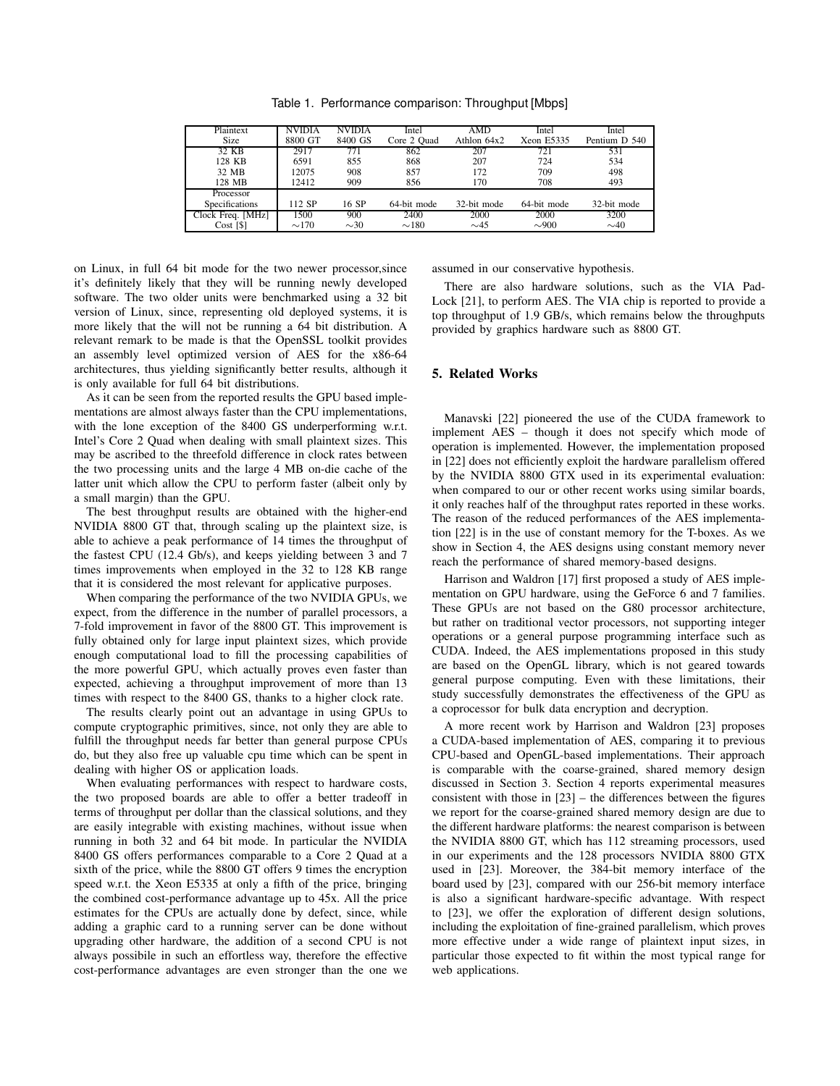| Plaintext         | NVIDIA     | NVIDIA    | Intel       | <b>AMD</b>  | Intel       | Intel         |
|-------------------|------------|-----------|-------------|-------------|-------------|---------------|
| Size              | 8800 GT    | 8400 GS   | Core 2 Quad | Athlon 64x2 | Xeon E5335  | Pentium D 540 |
| 32 KB             | 2917       | 771       | 862         | 207         | 721         | 531           |
| 128 KB            | 6591       | 855       | 868         | 207         | 724         | 534           |
| 32 MB             | 12075      | 908       | 857         | 172         | 709         | 498           |
| 128 MB            | 12412      | 909       | 856         | 170         | 708         | 493           |
| Processor         |            |           |             |             |             |               |
| Specifications    | 112 SP     | 16 SP     | 64-bit mode | 32-bit mode | 64-bit mode | 32-bit mode   |
| Clock Freq. [MHz] | 1500       | 900       | 2400        | 2000        | 2000        | 3200          |
| $Cost$ [\$]       | $\sim$ 170 | $\sim$ 30 | $\sim$ 180  | $\sim$ 45   | $\sim 900$  | $\sim 40$     |

Table 1. Performance comparison: Throughput [Mbps]

on Linux, in full 64 bit mode for the two newer processor,since it's definitely likely that they will be running newly developed software. The two older units were benchmarked using a 32 bit version of Linux, since, representing old deployed systems, it is more likely that the will not be running a 64 bit distribution. A relevant remark to be made is that the OpenSSL toolkit provides an assembly level optimized version of AES for the x86-64 architectures, thus yielding significantly better results, although it is only available for full 64 bit distributions.

As it can be seen from the reported results the GPU based implementations are almost always faster than the CPU implementations, with the lone exception of the 8400 GS underperforming w.r.t. Intel's Core 2 Quad when dealing with small plaintext sizes. This may be ascribed to the threefold difference in clock rates between the two processing units and the large 4 MB on-die cache of the latter unit which allow the CPU to perform faster (albeit only by a small margin) than the GPU.

The best throughput results are obtained with the higher-end NVIDIA 8800 GT that, through scaling up the plaintext size, is able to achieve a peak performance of 14 times the throughput of the fastest CPU (12.4 Gb/s), and keeps yielding between 3 and 7 times improvements when employed in the 32 to 128 KB range that it is considered the most relevant for applicative purposes.

When comparing the performance of the two NVIDIA GPUs, we expect, from the difference in the number of parallel processors, a 7-fold improvement in favor of the 8800 GT. This improvement is fully obtained only for large input plaintext sizes, which provide enough computational load to fill the processing capabilities of the more powerful GPU, which actually proves even faster than expected, achieving a throughput improvement of more than 13 times with respect to the 8400 GS, thanks to a higher clock rate.

The results clearly point out an advantage in using GPUs to compute cryptographic primitives, since, not only they are able to fulfill the throughput needs far better than general purpose CPUs do, but they also free up valuable cpu time which can be spent in dealing with higher OS or application loads.

When evaluating performances with respect to hardware costs, the two proposed boards are able to offer a better tradeoff in terms of throughput per dollar than the classical solutions, and they are easily integrable with existing machines, without issue when running in both 32 and 64 bit mode. In particular the NVIDIA 8400 GS offers performances comparable to a Core 2 Quad at a sixth of the price, while the 8800 GT offers 9 times the encryption speed w.r.t. the Xeon E5335 at only a fifth of the price, bringing the combined cost-performance advantage up to 45x. All the price estimates for the CPUs are actually done by defect, since, while adding a graphic card to a running server can be done without upgrading other hardware, the addition of a second CPU is not always possibile in such an effortless way, therefore the effective cost-performance advantages are even stronger than the one we assumed in our conservative hypothesis.

There are also hardware solutions, such as the VIA Pad-Lock [21], to perform AES. The VIA chip is reported to provide a top throughput of 1.9 GB/s, which remains below the throughputs provided by graphics hardware such as 8800 GT.

## **5. Related Works**

Manavski [22] pioneered the use of the CUDA framework to implement AES – though it does not specify which mode of operation is implemented. However, the implementation proposed in [22] does not efficiently exploit the hardware parallelism offered by the NVIDIA 8800 GTX used in its experimental evaluation: when compared to our or other recent works using similar boards, it only reaches half of the throughput rates reported in these works. The reason of the reduced performances of the AES implementation [22] is in the use of constant memory for the T-boxes. As we show in Section 4, the AES designs using constant memory never reach the performance of shared memory-based designs.

Harrison and Waldron [17] first proposed a study of AES implementation on GPU hardware, using the GeForce 6 and 7 families. These GPUs are not based on the G80 processor architecture, but rather on traditional vector processors, not supporting integer operations or a general purpose programming interface such as CUDA. Indeed, the AES implementations proposed in this study are based on the OpenGL library, which is not geared towards general purpose computing. Even with these limitations, their study successfully demonstrates the effectiveness of the GPU as a coprocessor for bulk data encryption and decryption.

A more recent work by Harrison and Waldron [23] proposes a CUDA-based implementation of AES, comparing it to previous CPU-based and OpenGL-based implementations. Their approach is comparable with the coarse-grained, shared memory design discussed in Section 3. Section 4 reports experimental measures consistent with those in [23] – the differences between the figures we report for the coarse-grained shared memory design are due to the different hardware platforms: the nearest comparison is between the NVIDIA 8800 GT, which has 112 streaming processors, used in our experiments and the 128 processors NVIDIA 8800 GTX used in [23]. Moreover, the 384-bit memory interface of the board used by [23], compared with our 256-bit memory interface is also a significant hardware-specific advantage. With respect to [23], we offer the exploration of different design solutions, including the exploitation of fine-grained parallelism, which proves more effective under a wide range of plaintext input sizes, in particular those expected to fit within the most typical range for web applications.